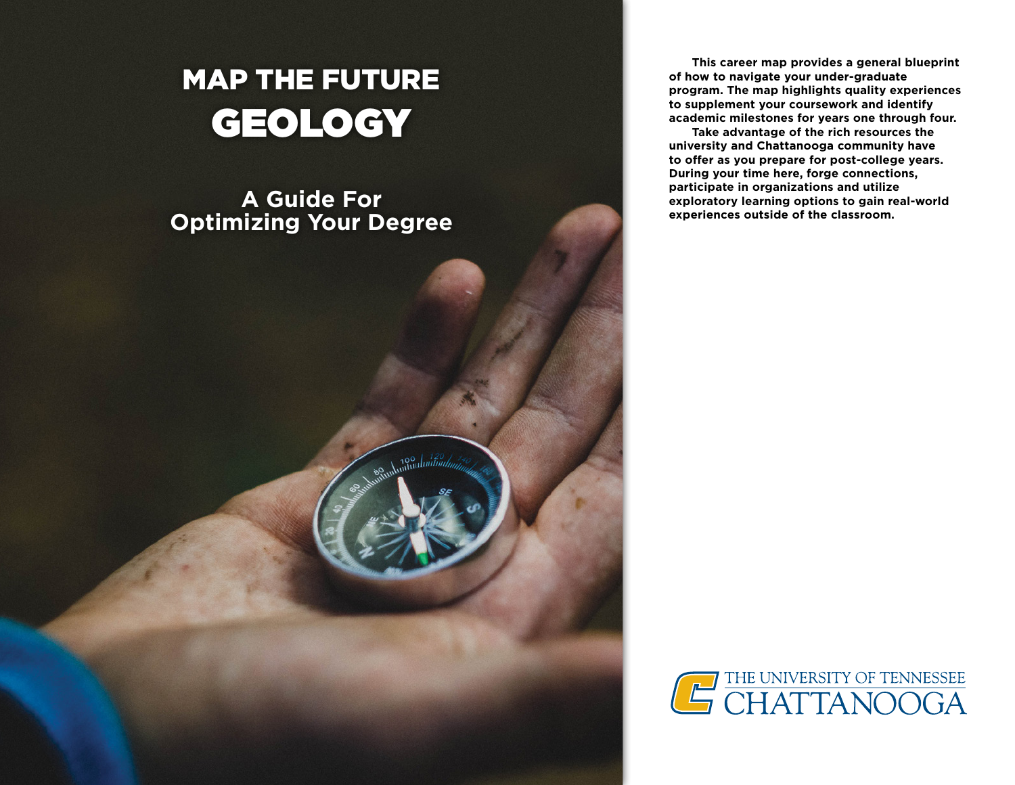# MAP THE FUTURE GEOLOGY

# **A Guide For Optimizing Your Degree**

**This career map provides a general blueprint of how to navigate your under-graduate program. The map highlights quality experiences to supplement your coursework and identify academic milestones for years one through four.** 

**Take advantage of the rich resources the university and Chattanooga community have to ofer as you prepare for post-college years. During your time here, forge connections, participate in organizations and utilize exploratory learning options to gain real-world experiences outside of the classroom.** 

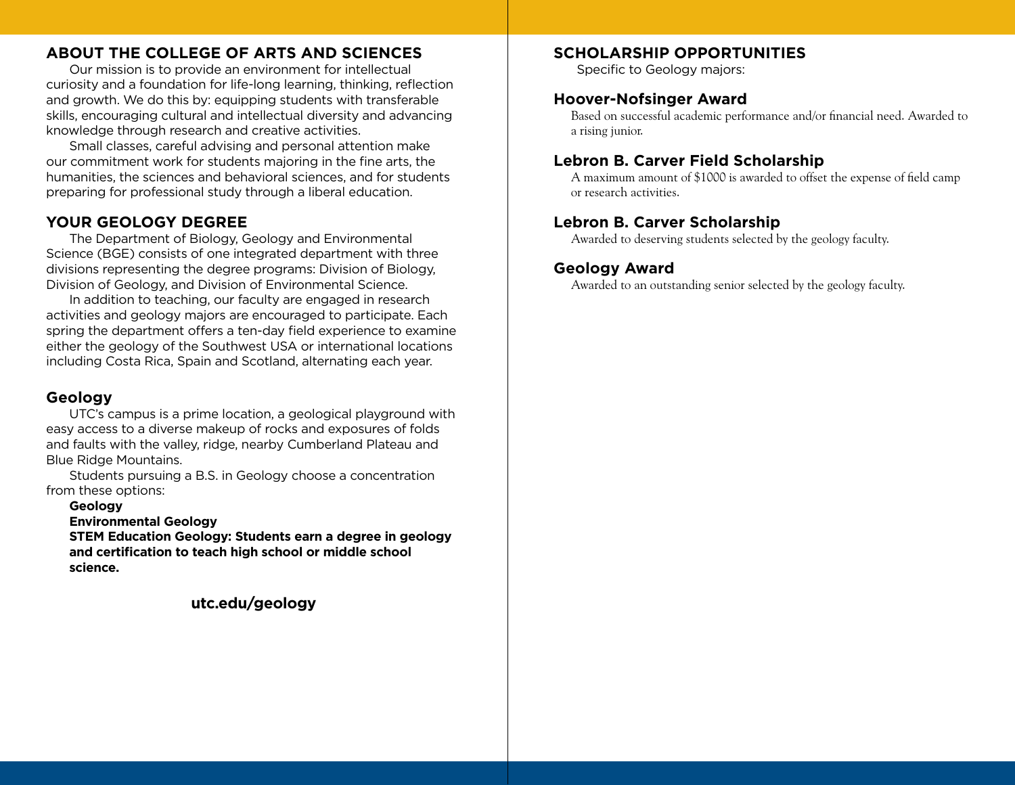# **ABOUT THE COLLEGE OF ARTS AND SCIENCES**

Our mission is to provide an environment for intellectual curiosity and a foundation for life-long learning, thinking, refection and growth. We do this by: equipping students with transferable skills, encouraging cultural and intellectual diversity and advancing knowledge through research and creative activities.

Small classes, careful advising and personal attention make our commitment work for students majoring in the fine arts, the humanities, the sciences and behavioral sciences, and for students preparing for professional study through a liberal education.

# **YOUR GEOLOGY DEGREE**

The Department of Biology, Geology and Environmental Science (BGE) consists of one integrated department with three divisions representing the degree programs: Division of Biology, Division of Geology, and Division of Environmental Science.

In addition to teaching, our faculty are engaged in research activities and geology majors are encouraged to participate. Each spring the department offers a ten-day field experience to examine either the geology of the Southwest USA or international locations including Costa Rica, Spain and Scotland, alternating each year.

# **Geology**

UTC's campus is a prime location, a geological playground with easy access to a diverse makeup of rocks and exposures of folds and faults with the valley, ridge, nearby Cumberland Plateau and Blue Ridge Mountains.

Students pursuing a B.S. in Geology choose a concentration from these options:

#### **Geology**

**Environmental Geology** 

**STEM Education Geology: Students earn a degree in geology and certifcation to teach high school or middle school science.** 

**utc.edu/geology** 

# **SCHOLARSHIP OPPORTUNITIES**

Specific to Geology majors:

# **Hoover-Nofsinger Award**

Based on successful academic performance and/or fnancial need. Awarded to a rising junior.

# **Lebron B. Carver Field Scholarship**

A maximum amount of \$1000 is awarded to offset the expense of feld camp or research activities.

# **Lebron B. Carver Scholarship**

Awarded to deserving students selected by the geology faculty.

# **Geology Award**

Awarded to an outstanding senior selected by the geology faculty.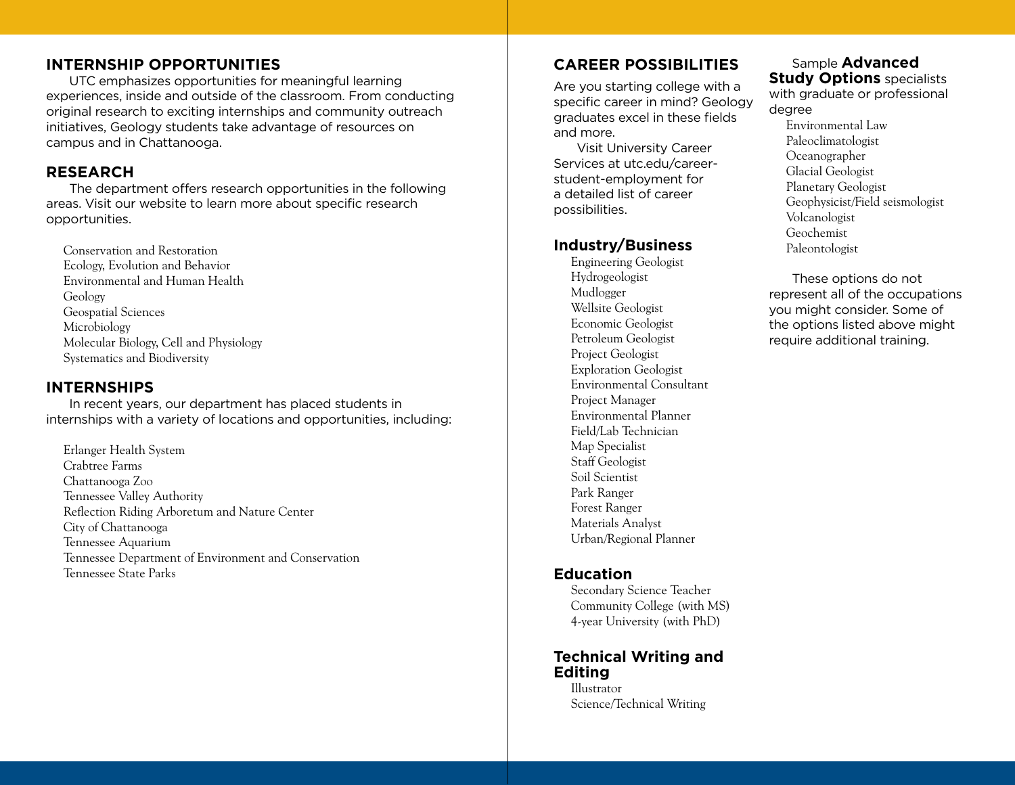# **INTERNSHIP OPPORTUNITIES**

UTC emphasizes opportunities for meaningful learning experiences, inside and outside of the classroom. From conducting original research to exciting internships and community outreach initiatives, Geology students take advantage of resources on campus and in Chattanooga.

#### **RESEARCH**

The department offers research opportunities in the following areas. Visit our website to learn more about specific research opportunities.

Conservation and Restoration Ecology, Evolution and Behavior Environmental and Human Health Geology Geospatial Sciences Microbiology Molecular Biology, Cell and Physiology Systematics and Biodiversity

#### **INTERNSHIPS**

In recent years, our department has placed students in internships with a variety of locations and opportunities, including:

Erlanger Health System Crabtree Farms Chattanooga Zoo Tennessee Valley Authority Refection Riding Arboretum and Nature Center City of Chattanooga Tennessee Aquarium Tennessee Department of Environment and Conservation Tennessee State Parks

# **CAREER POSSIBILITIES**

Are you starting college with a specific career in mind? Geology graduates excel in these fields and more.

Visit University Career Services at utc.edu/careerstudent-employment for a detailed list of career possibilities.

#### **Industry/Business**

Engineering Geologist Hydrogeologist Mudlogger Wellsite Geologist Economic Geologist Petroleum Geologist Project Geologist Exploration Geologist Environmental Consultant Project Manager Environmental Planner Field/Lab Technician Map Specialist Staff Geologist Soil Scientist Park Ranger Forest Ranger Materials Analyst Urban/Regional Planner

# **Education**

Secondary Science Teacher Community College (with MS) 4-year University (with PhD)

#### **Technical Writing and Editing**

Illustrator Science/Technical Writing

### Sample **Advanced Study Options** specialists

with graduate or professional degree

Environmental Law Paleoclimatologist Oceanographer Glacial Geologist Planetary Geologist Geophysicist/Field seismologist Volcanologist Geochemist Paleontologist

These options do not represent all of the occupations you might consider. Some of the options listed above might require additional training.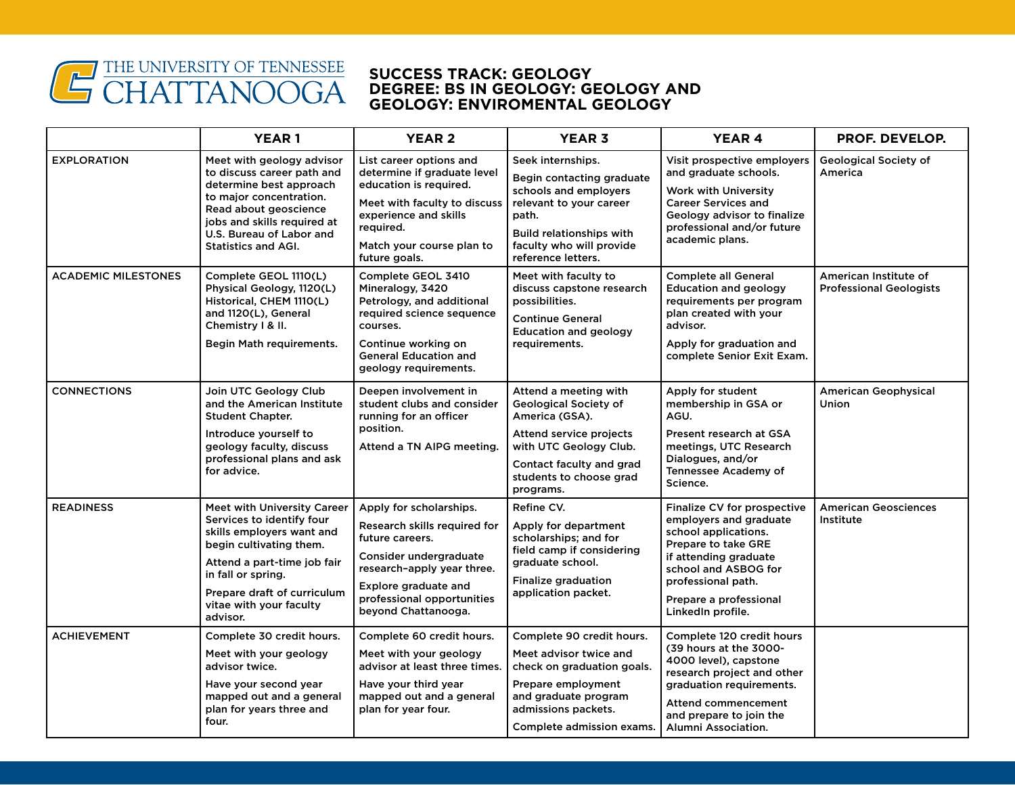

#### **SUCCESS TRACK: GEOLOGY DEGREE: BS IN GEOLOGY: GEOLOGY AND GEOLOGY: ENVIROMENTAL GEOLOGY**

|                            | <b>YEAR1</b>                                                                                                                                                                                                                                       | <b>YEAR 2</b>                                                                                                                                                                                                   | <b>YEAR 3</b>                                                                                                                                                                                           | <b>YEAR 4</b>                                                                                                                                                                                                              | <b>PROF. DEVELOP.</b>                                   |
|----------------------------|----------------------------------------------------------------------------------------------------------------------------------------------------------------------------------------------------------------------------------------------------|-----------------------------------------------------------------------------------------------------------------------------------------------------------------------------------------------------------------|---------------------------------------------------------------------------------------------------------------------------------------------------------------------------------------------------------|----------------------------------------------------------------------------------------------------------------------------------------------------------------------------------------------------------------------------|---------------------------------------------------------|
| <b>EXPLORATION</b>         | Meet with geology advisor<br>to discuss career path and<br>determine best approach<br>to major concentration.<br>Read about geoscience<br>jobs and skills required at<br>U.S. Bureau of Labor and<br><b>Statistics and AGI.</b>                    | List career options and<br>determine if graduate level<br>education is required.<br>Meet with faculty to discuss<br>experience and skills<br>required.<br>Match your course plan to<br>future goals.            | Seek internships.<br>Begin contacting graduate<br>schools and employers<br>relevant to your career<br>path.<br><b>Build relationships with</b><br>faculty who will provide<br>reference letters.        | Visit prospective employers<br>and graduate schools.<br><b>Work with University</b><br><b>Career Services and</b><br>Geology advisor to finalize<br>professional and/or future<br>academic plans.                          | Geological Society of<br>America                        |
| <b>ACADEMIC MILESTONES</b> | Complete GEOL 1110(L)<br>Physical Geology, 1120(L)<br>Historical, CHEM 1110(L)<br>and 1120(L), General<br>Chemistry I & II.<br>Begin Math requirements.                                                                                            | Complete GEOL 3410<br>Mineralogy, 3420<br>Petrology, and additional<br>required science sequence<br>courses.<br>Continue working on<br><b>General Education and</b><br>geology requirements.                    | Meet with faculty to<br>discuss capstone research<br>possibilities.<br><b>Continue General</b><br><b>Education and geology</b><br>requirements.                                                         | <b>Complete all General</b><br>Education and geology<br>requirements per program<br>plan created with your<br>advisor.<br>Apply for graduation and<br>complete Senior Exit Exam.                                           | American Institute of<br><b>Professional Geologists</b> |
| <b>CONNECTIONS</b>         | Join UTC Geology Club<br>and the American Institute<br><b>Student Chapter.</b><br>Introduce yourself to<br>geology faculty, discuss<br>professional plans and ask<br>for advice.                                                                   | Deepen involvement in<br>student clubs and consider<br>running for an officer<br>position.<br>Attend a TN AIPG meeting.                                                                                         | Attend a meeting with<br><b>Geological Society of</b><br>America (GSA).<br><b>Attend service projects</b><br>with UTC Geology Club.<br>Contact faculty and grad<br>students to choose grad<br>programs. | Apply for student<br>membership in GSA or<br>AGU.<br>Present research at GSA<br>meetings, UTC Research<br>Dialogues, and/or<br>Tennessee Academy of<br>Science.                                                            | <b>American Geophysical</b><br>Union                    |
| <b>READINESS</b>           | <b>Meet with University Career</b><br>Services to identify four<br>skills employers want and<br>begin cultivating them.<br>Attend a part-time job fair<br>in fall or spring.<br>Prepare draft of curriculum<br>vitae with your faculty<br>advisor. | Apply for scholarships.<br>Research skills required for<br>future careers.<br>Consider undergraduate<br>research-apply year three.<br>Explore graduate and<br>professional opportunities<br>beyond Chattanooga. | Refine CV.<br>Apply for department<br>scholarships; and for<br>field camp if considering<br>graduate school.<br>Finalize graduation<br>application packet.                                              | Finalize CV for prospective<br>employers and graduate<br>school applications.<br>Prepare to take GRE<br>if attending graduate<br>school and ASBOG for<br>professional path.<br>Prepare a professional<br>LinkedIn profile. | <b>American Geosciences</b><br>Institute                |
| <b>ACHIEVEMENT</b>         | Complete 30 credit hours.<br>Meet with your geology<br>advisor twice.<br>Have your second year<br>mapped out and a general<br>plan for years three and<br>four.                                                                                    | Complete 60 credit hours.<br>Meet with your geology<br>advisor at least three times.<br>Have your third year<br>mapped out and a general<br>plan for year four.                                                 | Complete 90 credit hours.<br>Meet advisor twice and<br>check on graduation goals.<br>Prepare employment<br>and graduate program<br>admissions packets.<br>Complete admission exams.                     | Complete 120 credit hours<br>(39 hours at the 3000-<br>4000 level), capstone<br>research project and other<br>graduation requirements.<br><b>Attend commencement</b><br>and prepare to join the<br>Alumni Association.     |                                                         |